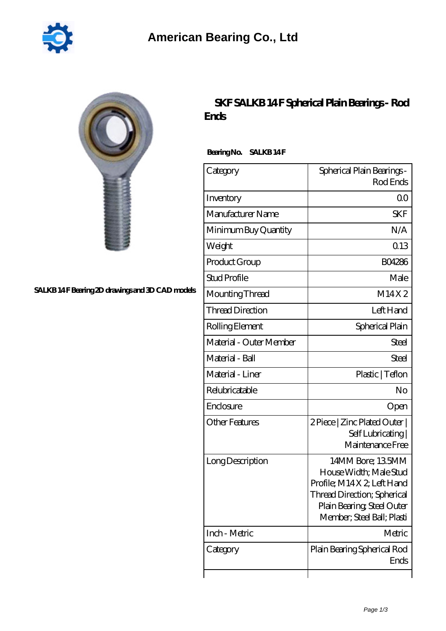

## SALKB 14F Bearing 2D drawings and 3D CAD models

## **[SKF SALKB 14 F Spherical Plain Bearings - Rod](https://2reflex.de/af-256142-skf-salkb-14-f-spherical-plain-bearings-rod-ends.html) [Ends](https://2reflex.de/af-256142-skf-salkb-14-f-spherical-plain-bearings-rod-ends.html)**

Bearing No. SALKB 14F

| Category                | Spherical Plain Bearings -<br>Rod Ends                                                                                                                             |
|-------------------------|--------------------------------------------------------------------------------------------------------------------------------------------------------------------|
| Inventory               | 0 <sup>0</sup>                                                                                                                                                     |
| Manufacturer Name       | <b>SKF</b>                                                                                                                                                         |
| Minimum Buy Quantity    | N/A                                                                                                                                                                |
| Weight                  | 0.13                                                                                                                                                               |
| Product Group           | <b>BO4286</b>                                                                                                                                                      |
| <b>Stud Profile</b>     | Male                                                                                                                                                               |
| Mounting Thread         | M14X2                                                                                                                                                              |
| <b>Thread Direction</b> | Left Hand                                                                                                                                                          |
| Rolling Element         | Spherical Plain                                                                                                                                                    |
| Material - Outer Member | Steel                                                                                                                                                              |
| Material - Ball         | Steel                                                                                                                                                              |
| Material - Liner        | Plastic   Teflon                                                                                                                                                   |
| Relubricatable          | No                                                                                                                                                                 |
| Enclosure               | Open                                                                                                                                                               |
| <b>Other Features</b>   | 2 Piece   Zinc Plated Outer  <br>Self Lubricating  <br>Maintenance Free                                                                                            |
| Long Description        | 14MM Bore; 135MM<br>House Width; Male Stud<br>Profile; M14X2; Left Hand<br>Thread Direction; Spherical<br>Plain Bearing, Steel Outer<br>Member; Steel Ball; Plasti |
| Inch - Metric           | Metric                                                                                                                                                             |
| Category                | Plain Bearing Spherical Rod<br>Ends                                                                                                                                |
|                         |                                                                                                                                                                    |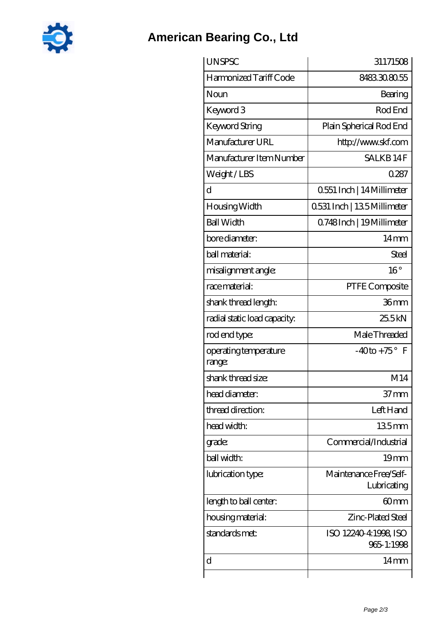

## **[American Bearing Co., Ltd](https://2reflex.de)**

| <b>UNSPSC</b>                   | 31171508                              |
|---------------------------------|---------------------------------------|
| Harmonized Tariff Code          | 8483308055                            |
| Noun                            | Bearing                               |
| Keyword 3                       | Rod End                               |
| Keyword String                  | Plain Spherical Rod End               |
| Manufacturer URL                | http://www.skf.com                    |
| Manufacturer Item Number        | <b>SALKB14F</b>                       |
| Weight/LBS                      | 0287                                  |
| d                               | 0551 Inch   14 Millimeter             |
| Housing Width                   | 0531 Inch   135 Millimeter            |
| <b>Ball Width</b>               | Q748Inch   19Millimeter               |
| bore diameter:                  | $14 \text{mm}$                        |
| ball material:                  | <b>Steel</b>                          |
| misalignment angle:             | $16^{\circ}$                          |
| race material:                  | PTFE Composite                        |
| shank thread length:            | 36mm                                  |
| radial static load capacity:    | 25.5kN                                |
| rod end type:                   | Male Threaded                         |
| operating temperature<br>range: | $-40$ to + 75° F                      |
| shank thread size:              | M14                                   |
| head diameter:                  | 37 mm                                 |
| thread direction:               | Left Hand                             |
| head width:                     | 135 <sub>mm</sub>                     |
| grade:                          | Commercial/Industrial                 |
| ball width:                     | 19 <sub>mm</sub>                      |
| lubrication type:               | Maintenance Free/Self-<br>Lubricating |
| length to ball center:          | 60mm                                  |
| housing material:               | Zinc-Plated Steel                     |
| standards met:                  | ISO 12240-4:1998, ISO<br>965-1:1998   |
| d                               | 14mm                                  |
|                                 |                                       |